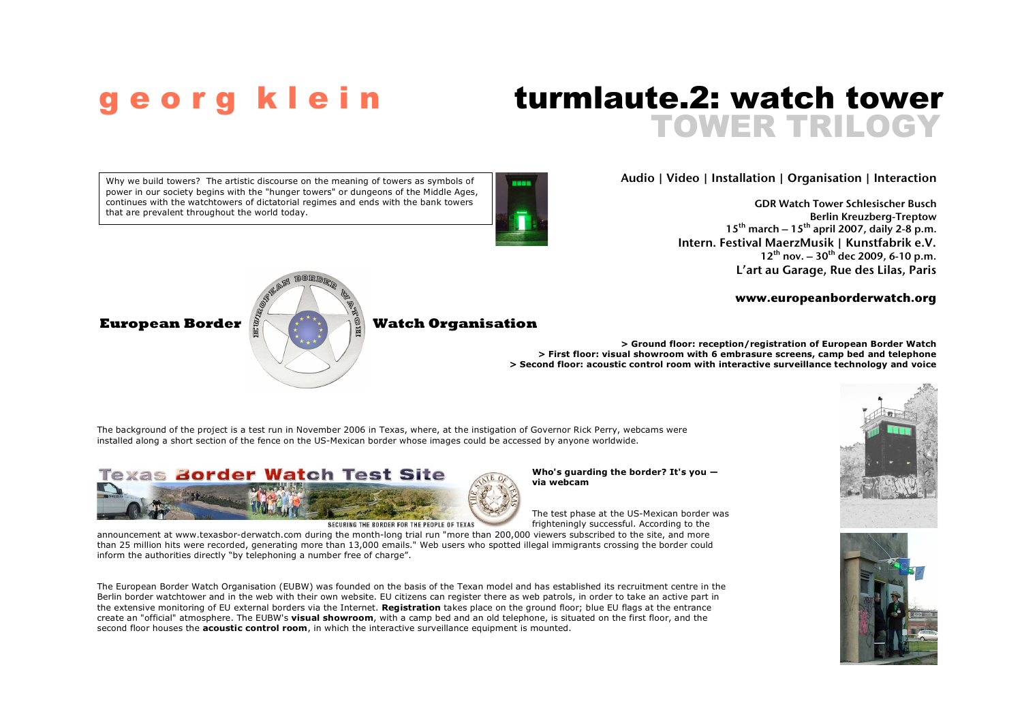# TOWER TRILOGY e o r g k l e i n turmlaute. 2: watch tower

## Audio | Video | Installation | Organisation | Interaction

GDR Watch Tower Schlesischer Busch Berlin Kreuzberg-Treptow  $15^{th}$  march –  $15^{th}$  april 2007, daily 2-8 p.m. Intern. Festival MaerzMusik | Kunstfabrik e.V.  $12^{th}$  nov.  $-30^{th}$  dec 2009, 6-10 p.m. L'art au Garage, Rue des Lilas, Paris

## **www.europeanborderwatch.org**



**> Ground floor: reception/registration of European Border Watch > First floor: visual showroom with 6 embrasure screens, camp bed and telephone > Second floor: acoustic control room with interactive surveillance technology and voice**

The background of the project is a test run in November 2006 in Texas, where, at the instigation of Governor Rick Perry, webcams were installed along a short section of the fence on the US-Mexican border whose images could be accessed by anyone worldwide.



SECURING THE RORDER EOR THE PEOPLE OF TEXAS

**Who's guarding the border? It's you via webcam**

The test phase at the US-Mexican border was frighteningly successful. According to the

announcement at www.texasbor-derwatch.com during the month-long trial run "more than 200,000 viewers subscribed to the site, and more than 25 million hits were recorded, generating more than 13,000 emails." Web users who spotted illegal immigrants crossing the border could inform the authorities directly "by telephoning a number free of charge".

The European Border Watch Organisation (EUBW) was founded on the basis of the Texan model and has established its recruitment centre in the Berlin border watchtower and in the web with their own website. EU citizens can register there as web patrols, in order to take an active part in the extensive monitoring of EU external borders via the Internet. **Registration** takes place on the ground floor; blue EU flags at the entrance create an "official" atmosphere. The EUBW's **visual showroom**, with a camp bed and an old telephone, is situated on the first floor, and the second floor houses the **acoustic control room**, in which the interactive surveillance equipment is mounted.

Why we build towers? The artistic discourse on the meaning of towers as symbols of power in our society begins with the "hunger towers" or dungeons of the Middle Ages, continues with the watchtowers of dictatorial regimes and ends with the bank towers that are prevalent throughout the world today.